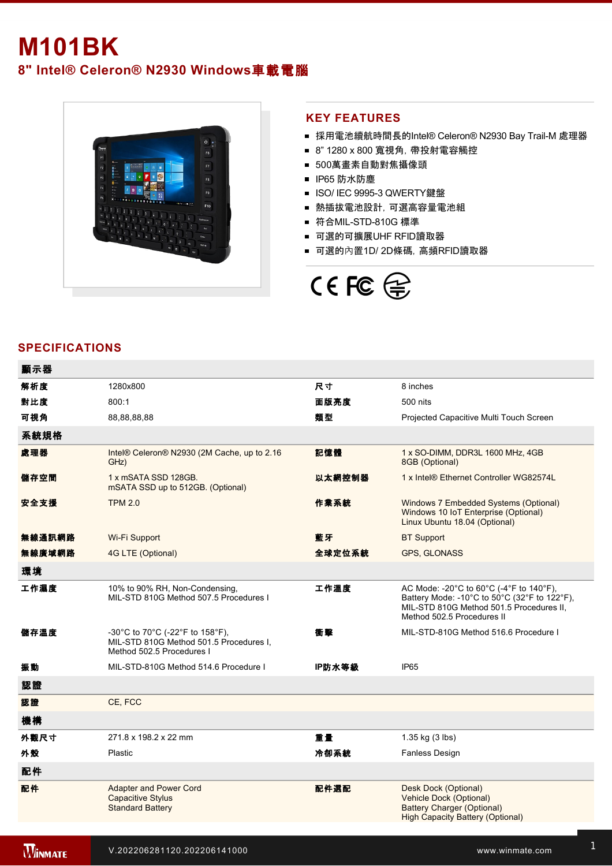# **M101BK 8" Intel® Celeron® N2930 Windows**車載電腦



### **KEY FEATURES**

- 採用電池續航時間長的Intel® Celeron® N2930 Bay Trail-M 處理器
- 8" 1280 x 800 寬視角, 帶投射電容觸控
- 500萬畫素自動對焦攝像頭
- IP65 防水防塵
- ISO/ IEC 9995-3 QWERTY鍵盤
- 熱插拔電池設計,可選高容量電池組
- 符合MIL-STD-810G 標準
- 可選的可擴展UHF RFID讀取器
- 可選的內置1D/2D條碼, 高頻RFID讀取器



## **SPECIFICATIONS**

| 顯示器    |                                                                                                         |        |                                                                                                                                                                                                                                                           |
|--------|---------------------------------------------------------------------------------------------------------|--------|-----------------------------------------------------------------------------------------------------------------------------------------------------------------------------------------------------------------------------------------------------------|
| 解析度    | 1280x800                                                                                                | 尺寸     | 8 inches                                                                                                                                                                                                                                                  |
| 對比度    | 800:1                                                                                                   | 面版亮度   | 500 nits                                                                                                                                                                                                                                                  |
| 可視角    | 88,88,88,88                                                                                             | 類型     | Projected Capacitive Multi Touch Screen                                                                                                                                                                                                                   |
| 系統規格   |                                                                                                         |        |                                                                                                                                                                                                                                                           |
| 處理器    | Intel® Celeron® N2930 (2M Cache, up to 2.16<br>GHz)                                                     | 記憶體    | 1 x SO-DIMM, DDR3L 1600 MHz, 4GB<br>8GB (Optional)                                                                                                                                                                                                        |
| 儲存空間   | 1 x mSATA SSD 128GB.<br>mSATA SSD up to 512GB. (Optional)                                               | 以太網控制器 | 1 x Intel® Ethernet Controller WG82574L                                                                                                                                                                                                                   |
| 安全支援   | <b>TPM 2.0</b>                                                                                          | 作業系統   | Windows 7 Embedded Systems (Optional)<br>Windows 10 IoT Enterprise (Optional)<br>Linux Ubuntu 18.04 (Optional)                                                                                                                                            |
| 無線通訊網路 | Wi-Fi Support                                                                                           | 藍牙     | <b>BT Support</b>                                                                                                                                                                                                                                         |
| 無線廣域網路 | 4G LTE (Optional)                                                                                       | 全球定位系統 | GPS, GLONASS                                                                                                                                                                                                                                              |
| 環境     |                                                                                                         |        |                                                                                                                                                                                                                                                           |
| 工作濕度   | 10% to 90% RH, Non-Condensing,<br>MIL-STD 810G Method 507.5 Procedures I                                | 工作溫度   | AC Mode: -20 $^{\circ}$ C to 60 $^{\circ}$ C (-4 $^{\circ}$ F to 140 $^{\circ}$ F),<br>Battery Mode: -10 $^{\circ}$ C to 50 $^{\circ}$ C (32 $^{\circ}$ F to 122 $^{\circ}$ F),<br>MIL-STD 810G Method 501.5 Procedures II,<br>Method 502.5 Procedures II |
| 儲存溫度   | -30°C to 70°C (-22°F to 158°F),<br>MIL-STD 810G Method 501.5 Procedures I.<br>Method 502.5 Procedures I | 衝撃     | MIL-STD-810G Method 516.6 Procedure I                                                                                                                                                                                                                     |
| 振動     | MIL-STD-810G Method 514.6 Procedure I                                                                   | IP防水等級 | IP65                                                                                                                                                                                                                                                      |
| 認證     |                                                                                                         |        |                                                                                                                                                                                                                                                           |
| 認證     | CE, FCC                                                                                                 |        |                                                                                                                                                                                                                                                           |
| 機構     |                                                                                                         |        |                                                                                                                                                                                                                                                           |
| 外觀尺寸   | 271.8 x 198.2 x 22 mm                                                                                   | 重量     | 1.35 kg (3 lbs)                                                                                                                                                                                                                                           |
| 外殼     | Plastic                                                                                                 | 冷卻系統   | <b>Fanless Design</b>                                                                                                                                                                                                                                     |
| 配件     |                                                                                                         |        |                                                                                                                                                                                                                                                           |
| 配件     | <b>Adapter and Power Cord</b><br><b>Capacitive Stylus</b><br><b>Standard Battery</b>                    | 配件選配   | Desk Dock (Optional)<br>Vehicle Dock (Optional)<br><b>Battery Charger (Optional)</b><br><b>High Capacity Battery (Optional)</b>                                                                                                                           |

UHF RFID Reader (Optional)

Shoulder Strap (Optional)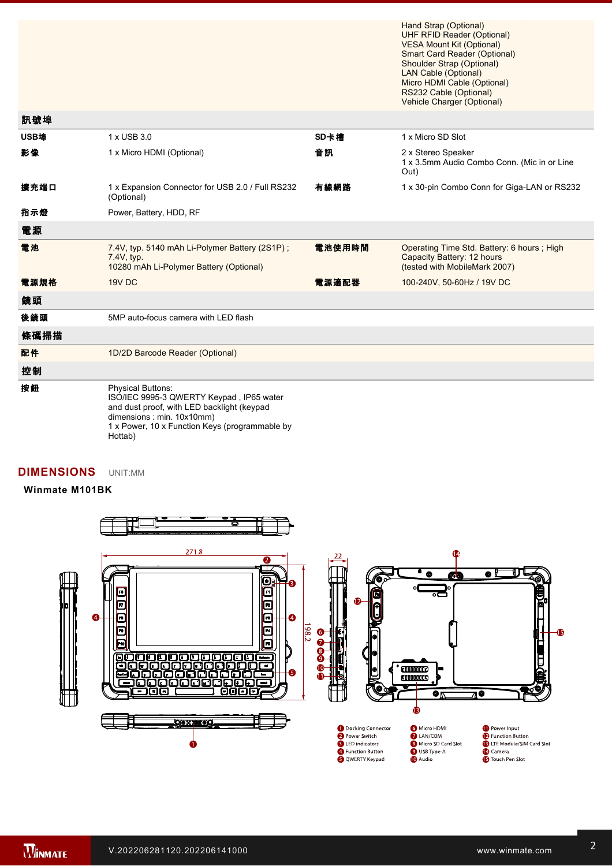Hand Strap (Optional) UHF RFID Reader (Optional) VESA Mount Kit (Optional) Smart Card Reader (Optional) Shoulder Strap (Optional) LAN Cable (Optional) Micro HDMI Cable (Optional) RS232 Cable (Optional) Vehicle Charger (Optional)

High Capacity Battery (Optional)

| 訊號埠  |                                                                                                                                                                                                              |        |                                                                                                           |
|------|--------------------------------------------------------------------------------------------------------------------------------------------------------------------------------------------------------------|--------|-----------------------------------------------------------------------------------------------------------|
| USB埠 | 1 x USB 3.0                                                                                                                                                                                                  | SD卡槽   | 1 x Micro SD Slot                                                                                         |
| 影像   | 1 x Micro HDMI (Optional)                                                                                                                                                                                    | 音訊     | 2 x Stereo Speaker<br>1 x 3.5mm Audio Combo Conn. (Mic in or Line<br>Out)                                 |
| 擴充端口 | 1 x Expansion Connector for USB 2.0 / Full RS232<br>(Optional)                                                                                                                                               | 有線網路   | 1 x 30-pin Combo Conn for Giga-LAN or RS232                                                               |
| 指示燈  | Power, Battery, HDD, RF                                                                                                                                                                                      |        |                                                                                                           |
| 電源   |                                                                                                                                                                                                              |        |                                                                                                           |
| 電池   | 7.4V, typ. 5140 mAh Li-Polymer Battery (2S1P);<br>7.4V, typ.<br>10280 mAh Li-Polymer Battery (Optional)                                                                                                      | 電池使用時間 | Operating Time Std. Battery: 6 hours; High<br>Capacity Battery: 12 hours<br>(tested with MobileMark 2007) |
| 電源規格 | 19V DC                                                                                                                                                                                                       | 電源適配器  | 100-240V, 50-60Hz / 19V DC                                                                                |
| 鏡頭   |                                                                                                                                                                                                              |        |                                                                                                           |
| 後鏡頭  | 5MP auto-focus camera with LED flash                                                                                                                                                                         |        |                                                                                                           |
| 條碼掃描 |                                                                                                                                                                                                              |        |                                                                                                           |
| 配件   | 1D/2D Barcode Reader (Optional)                                                                                                                                                                              |        |                                                                                                           |
| 控制   |                                                                                                                                                                                                              |        |                                                                                                           |
| 按鈕   | <b>Physical Buttons:</b><br>ISO/IEC 9995-3 QWERTY Keypad, IP65 water<br>and dust proof, with LED backlight (keypad<br>dimensions: min. 10x10mm)<br>1 x Power, 10 x Function Keys (programmable by<br>Hottab) |        |                                                                                                           |

### **DIMENSIONS**  UNIT:MM

#### **Winmate M101BK**